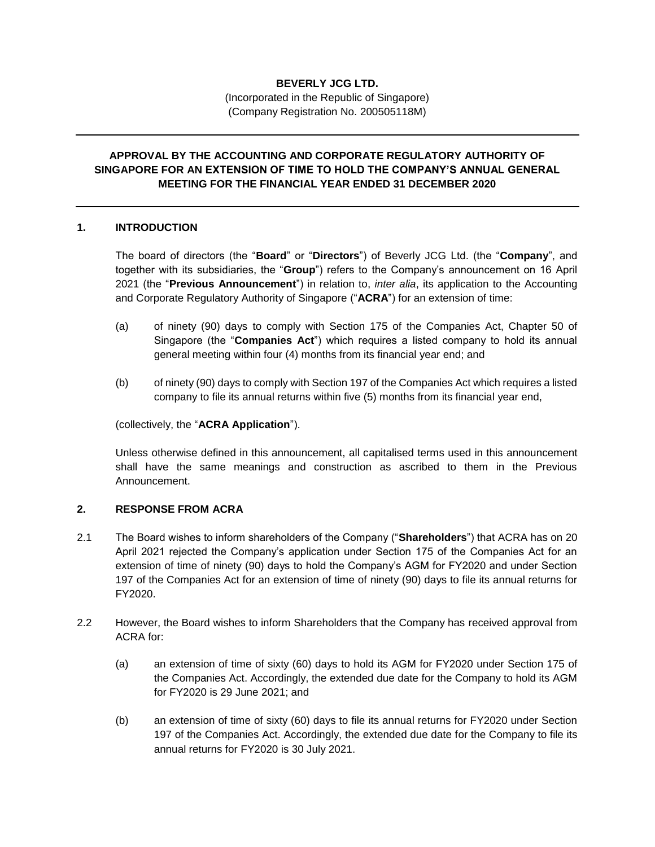# **BEVERLY JCG LTD.**

(Incorporated in the Republic of Singapore) (Company Registration No. 200505118M)

## **APPROVAL BY THE ACCOUNTING AND CORPORATE REGULATORY AUTHORITY OF SINGAPORE FOR AN EXTENSION OF TIME TO HOLD THE COMPANY'S ANNUAL GENERAL MEETING FOR THE FINANCIAL YEAR ENDED 31 DECEMBER 2020**

#### **1. INTRODUCTION**

The board of directors (the "**Board**" or "**Directors**") of Beverly JCG Ltd. (the "**Company**", and together with its subsidiaries, the "**Group**") refers to the Company's announcement on 16 April 2021 (the "**Previous Announcement**") in relation to, *inter alia*, its application to the Accounting and Corporate Regulatory Authority of Singapore ("**ACRA**") for an extension of time:

- (a) of ninety (90) days to comply with Section 175 of the Companies Act, Chapter 50 of Singapore (the "**Companies Act**") which requires a listed company to hold its annual general meeting within four (4) months from its financial year end; and
- (b) of ninety (90) days to comply with Section 197 of the Companies Act which requires a listed company to file its annual returns within five (5) months from its financial year end,

(collectively, the "**ACRA Application**").

Unless otherwise defined in this announcement, all capitalised terms used in this announcement shall have the same meanings and construction as ascribed to them in the Previous Announcement.

### **2. RESPONSE FROM ACRA**

- 2.1 The Board wishes to inform shareholders of the Company ("**Shareholders**") that ACRA has on 20 April 2021 rejected the Company's application under Section 175 of the Companies Act for an extension of time of ninety (90) days to hold the Company's AGM for FY2020 and under Section 197 of the Companies Act for an extension of time of ninety (90) days to file its annual returns for FY2020.
- 2.2 However, the Board wishes to inform Shareholders that the Company has received approval from ACRA for:
	- (a) an extension of time of sixty (60) days to hold its AGM for FY2020 under Section 175 of the Companies Act. Accordingly, the extended due date for the Company to hold its AGM for FY2020 is 29 June 2021; and
	- (b) an extension of time of sixty (60) days to file its annual returns for FY2020 under Section 197 of the Companies Act. Accordingly, the extended due date for the Company to file its annual returns for FY2020 is 30 July 2021.